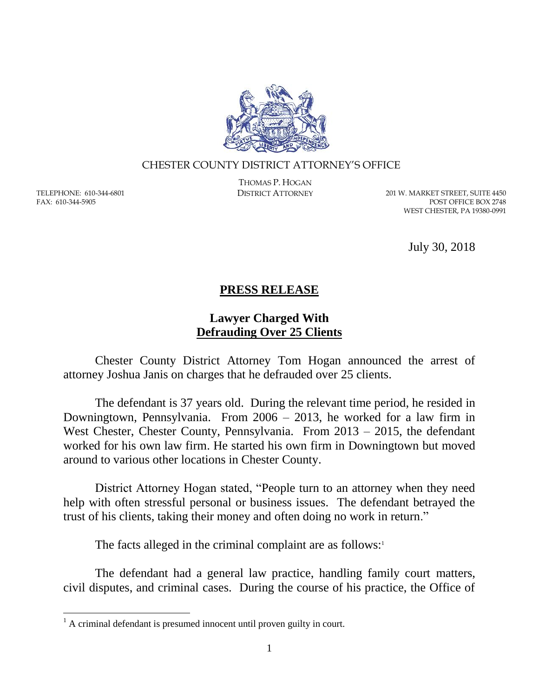

## CHESTER COUNTY DISTRICT ATTORNEY'S OFFICE

TELEPHONE: 610-344-6801 FAX: 610-344-5905

 $\overline{a}$ 

THOMAS P. HOGAN

DISTRICT ATTORNEY 201 W. MARKET STREET, SUITE 4450 POST OFFICE BOX 2748 WEST CHESTER, PA 19380-0991

July 30, 2018

## **PRESS RELEASE**

## **Lawyer Charged With Defrauding Over 25 Clients**

Chester County District Attorney Tom Hogan announced the arrest of attorney Joshua Janis on charges that he defrauded over 25 clients.

The defendant is 37 years old. During the relevant time period, he resided in Downingtown, Pennsylvania. From 2006 – 2013, he worked for a law firm in West Chester, Chester County, Pennsylvania. From 2013 – 2015, the defendant worked for his own law firm. He started his own firm in Downingtown but moved around to various other locations in Chester County.

District Attorney Hogan stated, "People turn to an attorney when they need help with often stressful personal or business issues. The defendant betrayed the trust of his clients, taking their money and often doing no work in return."

The facts alleged in the criminal complaint are as follows:<sup>1</sup>

The defendant had a general law practice, handling family court matters, civil disputes, and criminal cases. During the course of his practice, the Office of

 $<sup>1</sup>$  A criminal defendant is presumed innocent until proven guilty in court.</sup>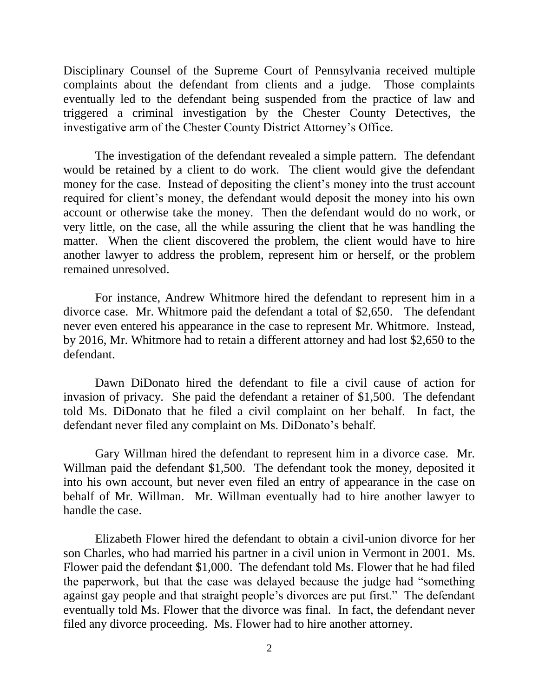Disciplinary Counsel of the Supreme Court of Pennsylvania received multiple complaints about the defendant from clients and a judge. Those complaints eventually led to the defendant being suspended from the practice of law and triggered a criminal investigation by the Chester County Detectives, the investigative arm of the Chester County District Attorney's Office.

The investigation of the defendant revealed a simple pattern. The defendant would be retained by a client to do work. The client would give the defendant money for the case. Instead of depositing the client's money into the trust account required for client's money, the defendant would deposit the money into his own account or otherwise take the money. Then the defendant would do no work, or very little, on the case, all the while assuring the client that he was handling the matter. When the client discovered the problem, the client would have to hire another lawyer to address the problem, represent him or herself, or the problem remained unresolved.

For instance, Andrew Whitmore hired the defendant to represent him in a divorce case. Mr. Whitmore paid the defendant a total of \$2,650. The defendant never even entered his appearance in the case to represent Mr. Whitmore. Instead, by 2016, Mr. Whitmore had to retain a different attorney and had lost \$2,650 to the defendant.

Dawn DiDonato hired the defendant to file a civil cause of action for invasion of privacy. She paid the defendant a retainer of \$1,500. The defendant told Ms. DiDonato that he filed a civil complaint on her behalf. In fact, the defendant never filed any complaint on Ms. DiDonato's behalf.

Gary Willman hired the defendant to represent him in a divorce case. Mr. Willman paid the defendant \$1,500. The defendant took the money, deposited it into his own account, but never even filed an entry of appearance in the case on behalf of Mr. Willman. Mr. Willman eventually had to hire another lawyer to handle the case.

Elizabeth Flower hired the defendant to obtain a civil-union divorce for her son Charles, who had married his partner in a civil union in Vermont in 2001. Ms. Flower paid the defendant \$1,000. The defendant told Ms. Flower that he had filed the paperwork, but that the case was delayed because the judge had "something against gay people and that straight people's divorces are put first." The defendant eventually told Ms. Flower that the divorce was final. In fact, the defendant never filed any divorce proceeding. Ms. Flower had to hire another attorney.